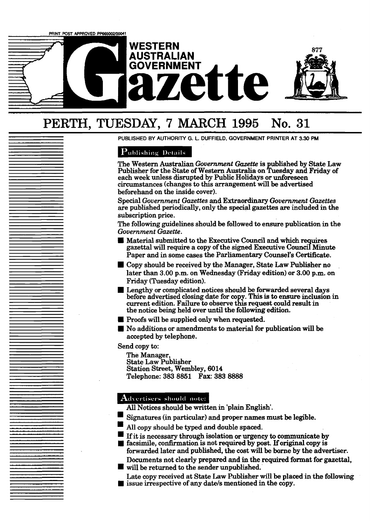

# **PERTH, TUESDAY, 7 MARCH 1995 No. 31**

**PUBLISHED BY AUTHORITY G, L. DUFFIELD, GOVERNMENT PRIMER AT 3.30 PM** 

# **Publishing Details**

The Western Australian *Government Garzette* is published by State Law Publisher for the State of Western **Australia** on Tuesday and Friday of each week unless disrupted by Public Holidays or unforeseen circumstances (changes to this arrangement will be advertised beforehand on the inside cover).

Special *Government Gazettes* and Extraordinary *Government Gazettes*  are published periodically, only the **special** gazettes are included in the subscription price.

The following guidelines should be followed to ensure publication in the *Government Gazette.* 

- **U**Material submitted to the Executive Council and which requires gazettal will require a copy of the signed Executive Council Minute Paper and in some cases the Parliamentary Counsel's Certificate.
- Copy should be received by the Manager, State **Law** Publisher no later than **3** .OO p.m. on Wednesday (Friday edition) or 3.00 p.m. on
- Friday (Tuesday edition).<br>
E Lengthy or complicated notices should be forwarded several days Lengthy or complicated notices should be forwarded several **days** before advertised closing date for copy. **This** is to ensure inclusion in current edition. Failure to observe this request could **result** in the notice being held over **until** the following edition.
- **U** Proofs will be supplied only when requested.
- **W** No additions or amendments to material for publication will be accepted by telephone.

Send copy to:

The Manager, State Law Publisher Station Street, Wembley, 6014 Telephone: **383** 8851 **Fax: 383 8888** 

- 
- 
- **Advertisers should note:**<br> **All Notices should be written in 'plain English'.**<br> **Signatures (in particular) and proper names must be legible.**<br> **All copy should be typed and double spaced.**<br> **If it is necessary through is** If it is necessary through isolation or urgency to communicate by facsimile, confirmation is not required by post. If original copy is
- forwarded later and published, the cost will be borne by the advertiser.

will be returned to the sender unpublished.

Documents not clearly prepared and in the required format for gazettal,<br>will be returned to the sender unpublished.<br>Late copy received at State Law Publisher will be placed in the following<br>issue irrespective of any date/s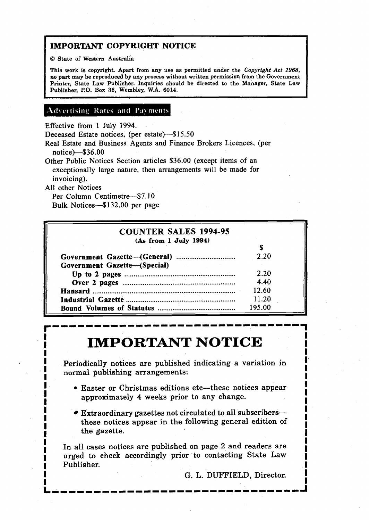# <sup>i</sup>**IMPORTANT COPYRIGHT NOTICE**

O **State of Western Australia** 

**This work is copyright. Apart from any use as permitted under the Copyright** *Act* **1968, no part may be reproduced by any process without written permission from the Government Printer, State Law Publisher. Inquiries should be directed to the Manager, State Law Publisher, PO. Box 38, Wembley, W.A. 6014.** 

# Advertising Rates and Payments

Effective from 1 July 1994.

Deceased Estate notices, (per estate)-\$15.50

Real Estate and Business Agents and Finance Brokers Licences, (per notice)--\$36.00

Other Public Notices Section articles \$36.00 (except items of an exceptionally large nature, then arrangements will be made for invoicing).

**At1** other Notices

**I** 

**I** 

Per Column Centimetre-\$7.10 Bulk Notices-\$132.00 per page

| <b>COUNTER SALES 1994-95</b> |        |
|------------------------------|--------|
| (As from 1 July 1994)        |        |
|                              |        |
|                              | 2.20   |
| Government Gazette-(Special) |        |
|                              | 2.20   |
|                              | 4.40   |
|                              | 12.60  |
|                              | 11.20  |
|                              | 195.00 |

# **IMPORTANT NOTICE I'ME ORIANI NOTION**

**I** Periodically notices are published indicating a variation in **I I** Periodically notices are published indicating a variation in **I I** normal publishing arrangements: I **I** 

- I Easter or Christmas editions etc-these notices appear **i <sup>1</sup>**approximately 4 weeks prior to any change. **I**  approximately 4 weeks prior to any change.
	- **Extraordinary gazettes not circulated to all subscribers-I** these notices appear in the following general edition of **I the gazette.** -

**<sup>1</sup>**In all cases notices are published on page 2 and readers are **I** urged to check accordingly prior to contacting State Law **I** Publisher.

G. L. DUFFIELD, Director.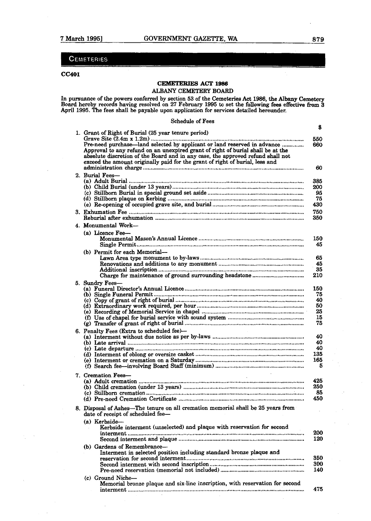# **CEMETERIES**

### **cc.401**

# **CEMETEMES ACT 1986**  *AZBANY* CEMETERY **BOARD**

In pursuance of the powers conferred by section 53 of the Cemeteries **Act 1986.** the **Albany Cemetery**  Board hereby records having resolved on 27 February 1995 to set the following fees effective from 3 April 1995. The fees shall be payable upon application for services detailed hereunder.

 $\ddot{\mathbf{s}}$ 

| 1. Grant of Right of Burial (25 year tenure period)<br>Pre-need purchase—land selected by applicant or land reserved in advance<br>Approval to any refund on an unexpired grant of right of burial shall be at the | 550<br>660       |
|--------------------------------------------------------------------------------------------------------------------------------------------------------------------------------------------------------------------|------------------|
| absolute discretion of the Board and in any case, the approved refund shall not<br>exceed the amount originally paid for the grant of right of burial, less and                                                    | 60               |
| 2. Burial Fees-                                                                                                                                                                                                    |                  |
|                                                                                                                                                                                                                    | 385<br>200<br>95 |
|                                                                                                                                                                                                                    | 75<br>430        |
|                                                                                                                                                                                                                    | 750<br>350       |
| 4. Monumental Work-                                                                                                                                                                                                |                  |
| (a) Licence Fee-                                                                                                                                                                                                   | 150<br>45        |
| (b) Permit for each Memorial-                                                                                                                                                                                      |                  |
|                                                                                                                                                                                                                    | 65<br>45         |
|                                                                                                                                                                                                                    | 35               |
|                                                                                                                                                                                                                    | 210              |
| 5. Sundry Fees-                                                                                                                                                                                                    | 150              |
|                                                                                                                                                                                                                    | 75               |
|                                                                                                                                                                                                                    | 40               |
|                                                                                                                                                                                                                    | 50<br>25         |
|                                                                                                                                                                                                                    | 15               |
|                                                                                                                                                                                                                    | 75               |
| 6. Penalty Fees (Extra to scheduled fee)-                                                                                                                                                                          |                  |
|                                                                                                                                                                                                                    | 40<br>40         |
|                                                                                                                                                                                                                    | 40               |
|                                                                                                                                                                                                                    | 135              |
|                                                                                                                                                                                                                    | 165<br>5         |
| 7. Cremation Fees-                                                                                                                                                                                                 | 425              |
|                                                                                                                                                                                                                    | 250              |
|                                                                                                                                                                                                                    | 85               |
|                                                                                                                                                                                                                    | 450              |
| 8. Disposal of Ashes—The tenure on all cremation memorial shall be 25 years from<br>date of receipt of scheduled fee-                                                                                              |                  |
| $(a)$ Kerbside-<br>Kerbside interment (unselected) and plaque with reservation for second                                                                                                                          |                  |
|                                                                                                                                                                                                                    | 200              |
|                                                                                                                                                                                                                    | 120              |
| (b) Gardens of Remembrance-<br>Interment in selected position including standard bronze plaque and                                                                                                                 | 350              |
|                                                                                                                                                                                                                    | 300              |
|                                                                                                                                                                                                                    | 140              |
| (c) Ground Niche-<br>Memorial bronze plaque and six-line inscription, with reservation for second                                                                                                                  |                  |
|                                                                                                                                                                                                                    | 475.             |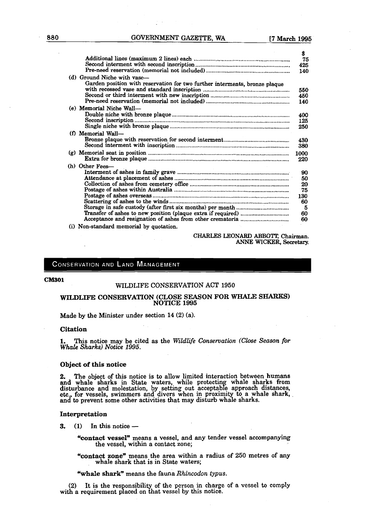|                                                                                                           | Ф.<br>75                                           |
|-----------------------------------------------------------------------------------------------------------|----------------------------------------------------|
|                                                                                                           | 425<br>140                                         |
| (d) Ground Niche with vase—<br>Garden position with reservation for two further interments, bronze plaque | 550<br>450<br>140                                  |
| (e) Memorial Niche Wall-                                                                                  | 400<br>125<br>250                                  |
| (f) Memorial Wall-                                                                                        | 430<br>380                                         |
|                                                                                                           | 1000<br>220                                        |
| (h) Other Fees-                                                                                           | 90<br>50<br>20<br>75<br>130<br>60<br>5<br>60<br>60 |
| (i) Non-standard memorial by quotation.                                                                   |                                                    |

#### CHARLES LEONARD ABBOTT, Chairman. ANNE **WICKER, Secretary.**

#### **CONSERVATION AND LAND MANAGEMENT**

#### **CM301**

#### WILDLIFE CONSERVATION ACT 1950

#### WILDLIFE CONSERVATION (CLOSE SEASON FOR WHALE SHARKS) **NOTICE 1995**

Made by the Minister under section 14 (2) (a).

#### Citation

**1.** This notice may be cited as the *Wildlife Conservation (Close Season for* **Whale** *Sharks) Notice 1995.* 

#### Object of this notice

**2.** The object of this notice is to allow limited interaction between humans and whale sharks in State waters, while protecting whale sharks from disturbance and molestation, by setting out acceptable approach distances, etc., for vessels, swimmers and divers when in proximity to a whale shark, **and** to prevent some other actinties that **may** dlsturb whale sharks.

- **Interpretation**<br>**3.** (1) In this notice --
	- %ontact **vessel"** means a vessel, and any tender vessel accompanying the vessel, within a contact zone;
	- %ontact zone" means the area within a radius of 250 metres of **any**  whale shark that is in **State** waters;

"whale **shark"** means the fauna *Rhincodon typus.* 

(2) It is the responsibility of the person in charge of a vessel to comply with a requirement placed on that vessel by this notice.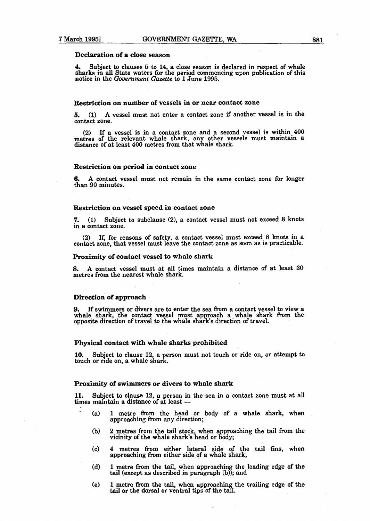#### Declaration of a close season

**4.** Subject to clauses 5 to 14, a close season is declared in respect of whale sharks in all State waters for the period commencing upon publication of this notice in the *Government* **Gazette** to 1 June 1995.

#### Restriction on number of vessels in or **near** contact zone

**5, (1)** A vessel must not enter a contact zone if another vessel is in the contact zone.

(2) If a vessel is in a contact zone and a second vessel is within  $400$ metres of the relevant whale shark, an other vessels must **mamtain** a distance of at least 400 metres from that whale shark.

#### Restriction on period in contact zone

**6.** A contact vessel must not remain in the same contact zone for longer than 90 minutes.

#### Restriction on vessel speed in contact zone

**7. (1)** Subject to subclause **(2),** a contact vessel must not exceed 8 knots in a contact zone.

If, for reasons of safety, a contact vessel must exceed 8 knots in a contact zone, that vessel must leave the contact zone as soon as is practicable.

#### Proximity of contact vessel to whale shark

**8.** A contact vessel must at all times maintain a distance of at least 30 metres from the nearest whale shark.

#### Direction of approach

**9.** If swimmers or divers are to enter the sea from a contact vessel **to** view a whale shark, the contact vessel must approach a whale shark from the opposite direction of travel to the whale shark's direction of travel.

#### Physical contact with whale sharks prohibited

10. Subject to clause 12, a person must not touch or ride on, or attempt to touch or ride on, a whale shark.

#### Proximity of swimmers or divers to whale shark

**11.** Subject to clause 12, a person in the sea in a contact zone must at all 11. Subject to clause 12, a person in the<br>times maintain a distance of at least --

- (a) 1 metre from the head or body of a whale shark, when approaching from any direction;
- **(b)** 2 metres **from** the tail stock when approaching the **tail** from the vicinity of the whale shark's head or body;
- (c) 4 metres from either lateral side of the tail **fins,** when approaching from either side of a whale shark;
- (d) 1 metre from the tail, when approaching the leading edge of the tail (except as described in paragraph  $(b)$ ); and
- (e) 1 metre from the tail, when approaching the trailing edge of the tail or the dorsal or ventral tips of the tall.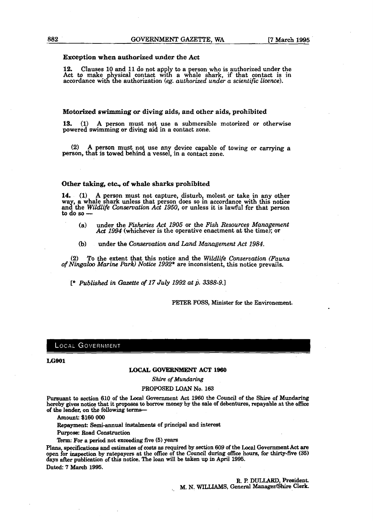#### **Exception when authorized under the Act**

12. Clauses 10 and 11 do not apply to a person who is authorized under the Act to make physical contact with a whale shark, if that contact is in accordance with the authorization *(eg. authorized under a scientific licence)*.

#### **Motorized swimming or diving aids, and other aids, prohibited**

**13.** (1) A person must not use a submersible motorized or otherwise powered swimming or diving aid in a contact zone.

(2) A person must not use any device capable of towing or carrying a person, that is towed behind a vessel, in a contact zone.

#### **Other taking, etc, of whale sharks prohibited**

**14. (1)** A person must not capture, disturb, molest or take in any other way, a whale shark unless that person does so in accordance with this notice and the *Wildlife Conservation Act 1950*, or unless it is lawful for that person to do so —

- **(a)** under the **Fisheries** Act 1905 or the **Fish** *Resources Mana emnt*  Act 1994 (whichever is the operative enactment at the time); or
- **(b)** under the *Conservation and Land Management Act* 1984.

**(2)** To the extent that this notice and the *Wildlife Conservation (Fauna of Ningaloo Marine Park) Notice* 1992\* are inconsistent, this notice prevails,

[\* **Published** *in Gazette of* 17 *July* 1992 *at* p. 3388-9.1

**PETER** FOSS, **Minister for the Environement.** 

#### **LOCAL GOVERNMENT**

#### **LGW1**

#### **LOCAL GOVERNMENT ACT 1960**

#### *Shim* **of** *Mundaring*

#### PROPOSED **LOAN** No. 163

Pursuant to section 610 of the Local Government Act 1960 the Council of the Shire of Mundaring<br>hereby gives notice that it proposes to borrow money by the sale of debentures, repayable at the office **of the** lender, **on** the **following** terms-

**Amowat: \$160 000** 

**Repayment: Semi-annual** instalments **of principal** and **interest** 

Furpose: **Road Construction** 

'Ikrm: **For a period not exceeding five (5) years** 

Plans, specifications and estimates of costs as required by section 609 of the Local Government Act are **open for inspection by ratepayers at the office of the Cound during office hours, for thirty-five (35)**  days after publication of this notice. The loan will be taken up in April 1995. **Dated. 7 Mar& 1995,** 

> **R. P. DULLARD, President. M. N. WIIUAMS, General Managerfihire Clerk.**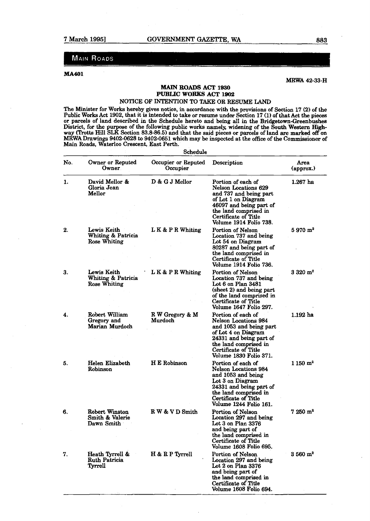# **MAIN ROADS**

#### **MA401**

**MXWA 42-33-H** 

# **MAIN ROADS ACT 1930 PUBLIC WORKS ACT 1902**

-

## NOTICE OF INTENTION TO TAKE OR RESUME LAND

The Minister for Works hereby gives notice, in accordance with **the** provisions of Section 17 **(2)** of the Public Works Act 1902, that it is intended to take or resume under Section 17 (1) of that Act the pieces or parcels of land described in the Schedule hereto and being all in the Bridgetown-Greenbushes District, fox the purpose of the following public works namely, **widening** of the South **Weetern High**way **(Trotts** Hill **SLK** Section **83.8-86.5)** and that the said pieces or parcels of land are **marked** off on **MRWA Drawings 9402-0628 to 9402-0651** which may be inspected at the office of the Commissioner of Main Roads, Waterloo Crescent, East Perth.

|     |                                                    | Schedule                        |                                                                                                                                                                                                           |                           |
|-----|----------------------------------------------------|---------------------------------|-----------------------------------------------------------------------------------------------------------------------------------------------------------------------------------------------------------|---------------------------|
| No. | Owner or Reputed<br>Owner                          | Occupier or Reputed<br>Occupier | Description                                                                                                                                                                                               | Area<br>${\rm (approx.)}$ |
| 1.  | David Mellor &<br>Gloria Jean<br>Mellor            | $D & G J$ Mellor                | Portion of each of<br>Nelson Locations 629<br>and 737 and being part<br>of Lot 1 on Diagram<br>46097 and being part of<br>the land comprised in<br>Certificate of Title<br>Volume 1914 Folio 738.         | $1.267$ ha                |
| 2.  | Lewis Keith<br>Whiting & Patricia<br>Rose Whiting  | L K & P R Whiting               | <b>Portion of Nelson</b><br>Location 737 and being<br>Lot 54 on Diagram<br>80287 and being part of<br>the land comprised in<br>Certificate of Title<br>Volume 1914 Folio 736.                             | $5970 \text{ m}^2$        |
| 3.  | Lewis Keith<br>Whiting & Patricia<br>Rose Whiting  | LK & PR Whiting                 | Portion of Nelson<br>Location 737 and being<br>Lot 6 on Plan 3481<br>(sheet 2) and being part<br>of the land comprised in<br>Certificate of Title<br>Volume 1647 Folio 297.                               | $3320 \; \mathrm{m}^2$    |
| 4.  | Robert William<br>Gregory and<br>Marian Murdoch    | R W Gregory & M<br>Murdoch      | Portion of each of<br><b>Nelson Locations 984</b><br>and 1053 and being part<br>of Lot 4 on Diagram<br>24331 and being part of<br>the land comprised in<br>Certificate of Title<br>Volume 1830 Folio 371. | $1.192$ ha                |
| 5.  | Helen Elizabeth<br>Robinson                        | H E Robinson                    | Portion of each of<br>Nelson Locations 984<br>and 1053 and being<br>Lot 3 on Diagram<br>24331 and being part of<br>the land comprised in<br>Certificate of Title<br>Volume 1244 Folio 161.                | $1150 \; \mathrm{m}^2$    |
| 6.  | Robert Winston<br>Smith & Valerie<br>Dawn Smith    | R W & V D Smith                 | Portion of Nelson<br>Location 297 and being<br>Lot 3 on Plan 3376<br>and being part of<br>the land comprised in<br>Certificate of Title<br>Volume 1608 Folio 695.                                         | $7250 \text{ m}^2$        |
| 7.  | Heath Tyrrell &<br><b>Ruth Patricia</b><br>Tyrrell | H & R P Tyrrell                 | Portion of Nelson<br>Location 297 and being<br>Lot 2 on Plan 3376<br>and being part of<br>the land comprised in<br>Certificate of Title<br>Volume 1608 Folio 694.                                         | $3560 \,\mathrm{m}^2$     |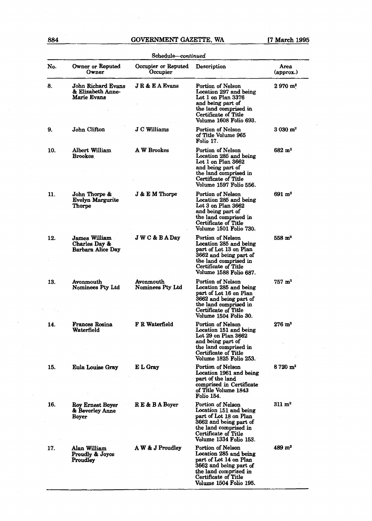# **884 GOVERNMENT GAZETTE, WA [7 March 1995**

|     |                                                                   | Schedule-continued              |                                                                                                                                                                            |                        |
|-----|-------------------------------------------------------------------|---------------------------------|----------------------------------------------------------------------------------------------------------------------------------------------------------------------------|------------------------|
| No. | Owner or Reputed<br>Owner                                         | Occupier or Reputed<br>Occupier | Description                                                                                                                                                                | Area<br>(approx.)      |
| 8.  | John Richard Evans<br>& Elizabeth Anne-<br>Marie Evans            | <b>JR &amp; EA Evans</b>        | Portion of Nelson<br>Location 297 and being<br>Lot 1 on Plan $3376$<br>and being part of<br>the land comprised in<br>Certificate of Title<br>Volume 1608 Folio 693.        | $2970 \; \mathrm{m}^2$ |
| 9.  | John Clifton                                                      | J C Williams                    | Portion of Nelson<br>of Title Volume 965<br>Folio 17.                                                                                                                      | $3030 \; \mathrm{m}^2$ |
| 10. | Albert William<br><b>Brookes</b>                                  | A W Brookes                     | Portion of Nelson<br>Location 285 and being<br>Lot 1 on Plan 3662<br>and being part of<br>the land comprised in<br>Certificate of Title<br>Volume 1597 Folio 556.          | $682 \; \mathrm{m}^2$  |
| 11. | John Thorpe &<br><b>Evelyn Margurite</b><br><b>Thorpe</b>         | $J & E M$ Thorpe                | Portion of Nelson<br>Location 285 and being<br>Lot 3 on Plan 3662<br>and being part of<br>the land comprised in<br>Certificate of Title<br>Volume 1501 Folio 730.          | 691 m <sup>2</sup>     |
| 12. | <b>James William</b><br>Charles Day &<br><b>Barbara Alice Day</b> | <b>JWC&amp;BADay</b>            | Portion of Nelson<br>Location 285 and being<br>part of Lot 13 on Plan<br>3662 and being part of<br>the land comprised in<br>Certificate of Title<br>Volume 1588 Folio 687. | $558~\mathrm{m}^2$     |
| 13. | Avonmouth<br>Nominees Pty Ltd                                     | Avonmouth<br>Nominees Pty Ltd   | Portion of Nelson<br>Location 285 and being<br>part of Lot 16 on Plan<br>3662 and being part of<br>the land comprised in<br>Certificate of Title<br>Volume 1504 Folio 30.  | $757 \; \mathrm{m}^2$  |
| 14. | <b>Frances Rosina</b><br>Waterfield                               | F R Waterfield                  | Portion of Nelson<br>Location 151 and being<br>Lot 29 on Plan 3662<br>and being part of<br>the land comprised in<br>Certificate of Title<br>Volume 1825 Folio 253.         | $276~\mathrm{m}^2$     |
| 15. | Eula Louise Gray                                                  | E L Gray                        | Portion of Nelson<br>Location 1961 and being<br>part of the land<br>comprised in Certificate<br>of Title Volume 1843<br>Folio 154.                                         | $8720 \; \mathrm{m}^2$ |
| 16. | Roy Ernest Boyer<br>& Beverley Anne<br><b>Boyer</b>               | RE & BA Boyer                   | Portion of Nelson<br>Location 151 and being<br>part of Lot 18 on Plan<br>3662 and being part of<br>the land comprised in<br>Certificate of Title<br>Volume 1334 Folio 153. | $311~\mathrm{m}^2$     |
| 17. | Alan William<br>Proudly & Joyce<br><b>Proudley</b>                | A W & J Proudley                | Portion of Nelson<br>Location 285 and being<br>part of Lot 14 on Plan<br>3662 and being part of<br>the land comprised in<br>Certificate of Title<br>Volume 1504 Folio 195. | $489 \text{ m}^2$      |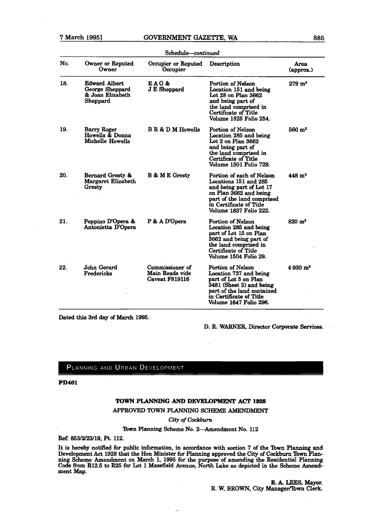### **7 March 19951 GOVERNMENT GAZETTE, WA 886**

|     | Schedule-continued                                                      |                                                      |                                                                                                                                                                                                   |                            |
|-----|-------------------------------------------------------------------------|------------------------------------------------------|---------------------------------------------------------------------------------------------------------------------------------------------------------------------------------------------------|----------------------------|
| No. | Owner or Reputed<br>Owner                                               | Occupier or Reputed<br>Occupier                      | Description                                                                                                                                                                                       | Area<br>$(\text{approx.})$ |
| 18. | <b>Edward Albert</b><br>George Sheppard<br>& Joan Elizabeth<br>Sheppard | EAG&<br><b>J E Sheppard</b>                          | Portion of Nelson<br>Location 151 and being<br>Lot 28 on Plan 3662<br>and being part of<br>the land comprised in<br>Certificate of Title<br>Volume 1825 Folio 254.                                | $279 \; m^2$               |
| 19. | Barry Roger<br>Howells & Donna<br>Michelle Howells                      | <b>B R &amp; D M Howells</b>                         | Portion of Nelson<br>Location 285 and being<br>Lot 2 on Plan 3662<br>and being part of<br>the land comprised in<br>Certificate of Title<br>Volume 1501 Folio 729.                                 | $560 \; \mathrm{m}^2$      |
| 20. | Bernard Gresty &<br>Margaret Elizabeth<br>Gresty                        | <b>B &amp; M E Gresty</b>                            | Portion of each of Nelson<br>Locations 151 and 285<br>and being part of Lot 17<br>on Plan 3662 and being<br>part of the land comprised<br>in Certificate of Title<br>Volume 1837 Folio 222.       | $448 \; \mathrm{m}^2$      |
| 21. | Peppino D'Opera &<br>Antonietta D'Opera                                 | P & A D'Opera                                        | Portion of Nelson<br>Location 285 and being<br>part of Lot 15 on Plan<br>3662 and being part of<br>the land comprised in<br>Certificate of Title<br>Volume 1504 Folio 29.                         | $820 \; \mathrm{m}^2$      |
| 22. | John Gerard<br>Fredericks                                               | Commissioner of<br>Main Roads vide<br>Caveat F819116 | <b>Portion of Nelson</b><br>Location 737 and being<br>part of Lot 5 on Plan<br>3481 (Sheet 2) and being<br>part of the land contained<br>in Certificate of Title<br><b>Volume 1647 Folio 296.</b> | $4.930 \text{ m}^2$        |

Dated **this 3rd** day of **March 1995.** 

D. R. **WARNER,** Director Corporate Services.

# PLANNING AND URBAN DEVELOPMENT

**PD401** 

#### **TOWN PLANNING AND DEVELOPMENT ACT** 1928

### **APPROVED** TOWN PLANNING SCHEME **AMENDMENT**

*City* **of** *Cockburn* 

# Town Planning Scheme No. 2-Amendment No. 112

**Ref: 853/2123/19, F't. 112.** 

It **is hereby** notitied for public information, in accordance **with** section 7 of the **lbwn Planning** and Development Act **1928** that the Hon Minister for Planning approved **the City** of **Cockburn 'Ibwn Plan**ning Scheme Amendment on **March 1, 1995** for the purpose'of amending the Residential Planning Code from **R12.5** to **R25** for Lot **1** Masefield Avenue, North Lake **as** depicted in the Scheme Amendment Map.

 $\ddotsc$ 

**R. A. LEES, Mayor.** R. W. BROWN, City Manager/lbwn **Clerk**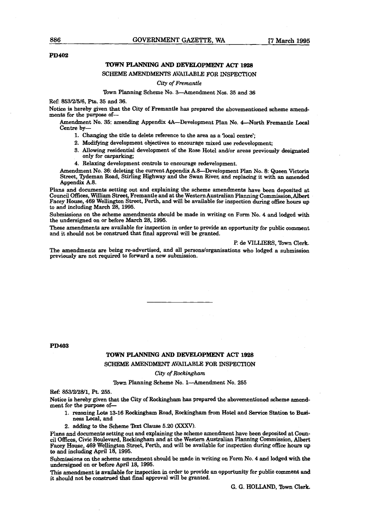#### **PD402**

#### **TOWN PLANNING AND DEVELOPMENT ACT 1928**

SCHEME AMENDMENTS AVAILABLE FOR INSPECTION

#### **City** af *Frernuntle*

#### Town Planning Scheme No. 3-Amendment Nos. 35 and 36

**Ref: 853/2/5/6, Pts.** 35 and **36.** 

Notice is hereby given that the City of Fremantle **has** prepared the abovementioned scheme amendments for the purpose of-

Amendment No. 35: amending Appendix 4A-Development Plan No. 4-North Fremantle Local Centre by-

- **1.** Changing the title **to** delete reference to the area **as** a **local** centre';
- 2. Modifying development objectives to encourage mixed use redevelopment;
- 3. Allowing residential development of the Rose Hotel and/or **areas** previously designated only for carparking;

4. Relaxing development controls to encourage redevelopment.

Amendment No. **36:** deleting the current Appendix AS-Development Plan No. 8: Queen Victoria Street, Tydeman Road, Stirling Highway and the Swan River, and replacing it with an amended Appendix A.8.

Plans and documents setting out and explaining the scheme amendments have been deposited at Council Offices, William Street, Fremantle and at the Western Australian Planning Commission, Albert Facey House, **469** Wellington Street, Perth, and will be available for inspection during office hours up to and including March 28,1995.

Submissions on the scheme amendments should be made in writing on Form No. 4 and lodged with the undersigned on or before March 28,1995.

These amendments are available for inspection in order to provide an opportunity for **public** comment and it should not be construed that final approval will be granted.

#### **l?** de **VILLIERS,** Town Clerk.

The amendments are being re-advertised, and all persons/organisations who lodged a submission previously are not required to forward a new submission.

**PD403** 

#### **TOWN PLANNING AND DEVELOPMENT ACT 1928**

#### SCHEME **AMENDMENT** AVAILABLE FOR **INSPECTION**

#### **City** of *RocRingham*

#### Town Planning Scheme No. 1-Amendment No. 255

**Ref: 853/2/28/1,** Pt. 255.

Notice is hereby given that the City of Rockingham **has** prepared the abovementioned scheme **amend**ment for the purpose of-

- 1. mwning **Lob** 13-16 **Rockiagham** Road, Rockingham from Hotel and **Senice** Station to **Bueiness** Local, and
- 2. adding to the Scheme Text Clause 5.20 (XXXV).

Plans and documents setting out and explaining the scheme amendment have been deposited at Council Offices, Civic Boulevard, **Rockingham** and at the Western Australian Planning Commission, Albert **Facey** House, 469 **Wellington** Street, Perth, and will be available for inspection during **ace** bouts **up**  to and including April 18, 1995.

Submissions on the scheme amendment should be made in writing on Form No. **4 and** lodged **with** the undersigned on or before April 18,1995.

**This** amendment is available for inspection in order **to** provide an opportunity for public **comment** and it should not be construed that final approval will be granted.

G. G. **HOLLAND,** Town **Clerk,**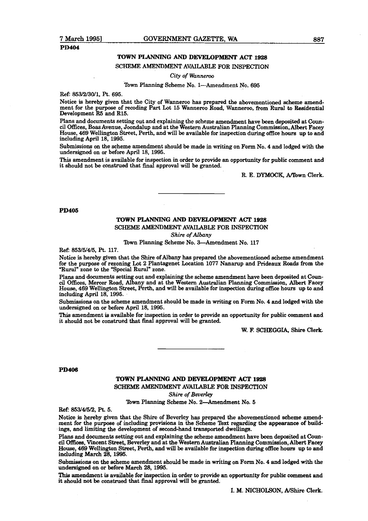# **PD404**

# **TOWN PLANNING AND DEVELOPMENT ACT 1928**

# SCHEME AMENDMENT AVAILABLE FOR INSPECTION

#### *City* **of** *Wannem*

Town Planning Scheme No. 1-Amendment No. 695

**Ref:** 853/2/30/1, Pt. 695.

Notice is hereby given that the City of Wanneroo **has** prepared the abovementioned scheme amendment for the purpose of recoding **Part** Lot 15 Wameroo Road, Wanneroo, **fiom** Rural to Residential Development **R5** and R15.

Plans and documents setting out and explaining the scheme amendment have been deposited at Council Offices, Boas Avenue, Joondalup and at the Western Australian Planning Commission, Albert Facey House, 469 Wellington Street, Perth, and will be available for inspection **during** office hours up to and including April 18, 1995.

Submissions on the scheme amendment should be made in writing on Form No. 4 and lodged with the undersigned on or before April 18, 1995.

This amendment is available for inspection in order to provide an opportunity for public comment and it should not be construed that final approval will be granted.

R. E. **DYMOCK,** A/mwn Clerk.

#### **PD405**

# TOWN **PLANNING AND DEVEU)PMEWT ACI'** 1928 SCHEME **AMENDMENT** AVAILABLE FOR INSPECTION

**Shire of** Albany

Town Planning Scheme No. 3-Amendment No. 117

**Ref: 853/5/4/5,** Pt. 117.

Notice is hereby given that the Shire of Albany **has** prepared the abovementioned scheme amendment for the purpose of rezoning Lot 2 Plantagenet Location 1077 Nanarup and Prideaux Roads from the "Rural" zone to the "Special Rural" zone.

Plans and documents setting out and explaining the scheme amendment have been deposited at Coun-<br>cil Offices, Mercer Road, Albany and at the Western Australian Planning Commission, Albert Facey House, 469 Wellington Street, Perth, and will be available for inspection during office hours up to and including April 18, 1995.

Submissions on the scheme amendment should be made in writing on Form No. 4 and lodged with the undersigned on or before April 18,1995.

**This** amendment is available for inspection in order to provide an opportunity for public comment and it should not be construed that final approval will be granted.

W. **E** SCHEGGIA, Shire Clerk.

#### **PD406**

### TOWN **PLANNING AND DEVELOPMENT ACT**

**SCHEME AMENDMENT AVAILABLE** FOR INSPECTION

Shire of **Beverley** 

Town Planning Scheme No. 2-Amendment No. 5

Ref: 853/45/2, **Pt.** 5.

Notice is hereby given that the Shire of Beverley has prepared the abovementioned **scheme** amendment for the purpose of including provisions in the Scheme Text regarding the appearance of buildings, and limiting the development of second-hand transported dwellings.

Plans and documents setting out and explaining the scheme amendment have been deposited at Coun**cil Ofkea,** Vincent Street, Beverley and at the Western **Australian** Planning Commission, Albert Facey **House,** 469 Wellington Street, Perth, and will be available for inspection during office hours up to and including March 28,1995.

Submissions on the scheme amendment should be made in writing on Form No. 4 and lodged with the undersigned on or before March 28, 1995.

This amendment is available for inspection in order to provide an opportunity for public comment and it should not be construed that final approval will be **granted.**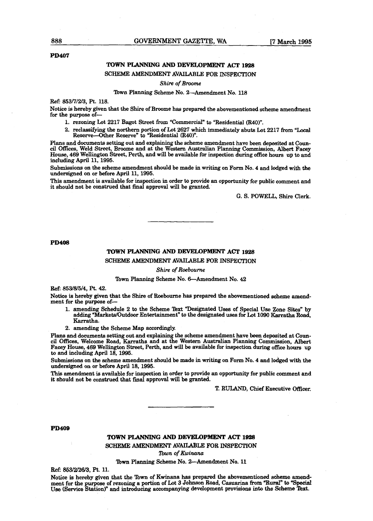#### **PD407**

# TOWN **PLANNING AND DEWLOPMENT ACT 1928**

SCHEME **AMENDMENT AVAILABLE** FOR INSPECTION

*Shire of Broome* 

#### Town Planning Scheme No. 2-Amendment No. 118

Ref: **853/7/2/3,** Pt. 118.

Notice is hereby given that the Shire of Broome has prepared the abovementioned scheme amendment for the purpose **of-**

- 1. rezoning Lot 2217 Bagot Street from "Commercial" to "Residential **(R40)".**
- 2. reclassifying the northern portion of Lot 2627 which immediately abuts Lot 2217 from "Local Reserve-Other Reserve" to "Residential (R40)".

Plans and documents setting out and explaining the scheme amendment have **been deposited** at **Coun***cil* **Offices,** Weld Street, Broome and at the **Western** Australian Planning Commission, Albert Facey House, 469 Wellington Street, Perth, and will be available for inspection during office hours up to **and**  including April 11, 1995.

Submissions on the scheme amendment should be made in writing on Form No. 4 and lodged with the undersigned on or before April 11, 1995.

**This** amendment is available for inspection in order to provide an opportunity for public comment and it should not be construed that final approval will be granted.

G. S. POWELL, Shire Clerk.

#### **PD408**

#### TOWN **PLANNING AND DEVELOPMENT ACT 1928**

SCHEME **AMENDMENT** AVAILABLE FOR INSPECTlON

Shire of *Roeboune* 

#### Town Planning Scheme No. 6-Amendment No. 42

Ref: 853/8/5/4, Pt. 42.

Notice **is** hereby given that the Shire of Roebourne **has** prepared the abovementioned scheme amendment for the purpose **of-**

- 1. amending Schedule 2 **to** the Scheme **Text** "Designated **Uses** of Special **Use** Zone Sites" by adding "Markets/Outdoor Entertainment" to the designated uses for Lot 1090 Karratha Road, Karratha.
- 2. amending the Scheme Map accordingly.

**Plana** and documents setting out and explaining the scheme amendment have **been** deposited at Council Offices, Welcome Road, Karratha and at the Western Australian Planning Commission, Albert Facey House, 469 Wellington Street, Perth, and will be available for inspection during office hours up to and including April 18,1995.

Submissions on the scheme amendment should be made in writing on Form No. 4 and lodged with the undemigned on or before April 18,1995.

**This** amendment is available for inspection in order to provide an opportunity for public comment and it should not be construed that **final** approval **will** be granted.

T. **RULAND,** Chief Executive Otficer.

**PD409** 

# TOWN **PLANNING AND DEVELOPMENT ACT 1828**

**SCHEME AMENDMENT AVAILABLE FOR INSPECTION** 

*lbwn* **of** *Kiuinuna* 

#### **lbwn** Planning Scheme No. 2-Amendment No. 11

**Ref:** 853/2/26/3, **Pt.** 11.

Notice **is** hereby given that the Tpwn of Kwinana haa prepared the abavementioned **scheme** amendment for the purpose of rezoning a portion of Lot 3 Johnson Road, Casuarina from "Rural" to "Special Use (Service Station)" and introducing accompanying development provisions into the Scheme Text.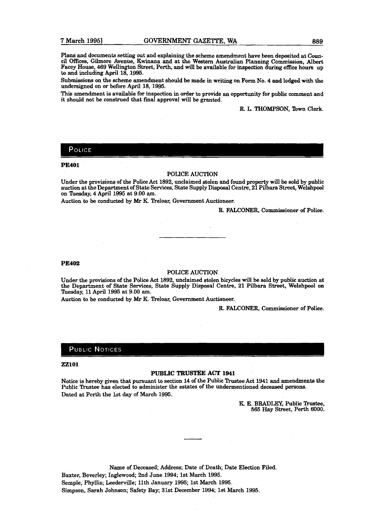Plans and documents setting out and explaining the scheme amendment have been depasia at **Coun**cil Offices, Gilmore Avenue, Kwinana and at the Western Australian Planning Commission, Albert **Facey** House, **469** Wellington Street, Perth, and **will** be available for inspection during office hours up to and including April 18, 1995.

Submissions on the scheme amendment should be made in **writing** on Form No. 4 **and** lodged with **the undersigned** on **or** before April **18, 1995.** 

**This** amendment **is** available far inspection in order to provide an opportunity for public comment and it should not be construed that final approval will be granted.

**R.** L. TWOMPSON, **'Ibwn Clerk.** 

# POLICE

#### **PE401**

#### POLICE AUCTION

Under the provisions of the Police Act **1892,** unclaimed stolen and found property will be sold by public auction at the Department of State Services, State Supply Disposal Centre, **21** Pilbara Street, Welshpool on Theday, 4 April **1995** at **9.00** am.

Auction to be conducted by **Mr** K Treloar, Government Auctioneer.

R. FALCONER, Commissioner of Police.

#### **PE402**

#### POLICE AUCTION

**Under** the provisions of the Police Act **1892,** unclaimed stolen bicycles will be sold by public auction at the Department of State Services, State **Supply** Disposal Centre, **21** Pilbara Street, Welshpool on Tuesday, 11 April **1995** at **9.00** am.

Auction **to** be conducted by IMP **K.** Treloar, Government Auctioneer.

R. FALCONER, Commissioner of Police.

### **PUBLIC NOTICES**

#### **ZZlOl**

#### **PUBLIC TRUSTEE ACT 1941**

Notice is hereby given that pursuant to section 14 of the Public **Trustee** Act **1941 and amendments** the Public Trustee has elected to administer the estates of the undermentioned deceased persons. Dated at Perth the 1st day of March 1995.

> K. E. BRADLEY, Public Trustee, **565 Hay** Street, Perth **6000.**

Name of Deceased; Address; Date of Death, Date Election Filed. Baxter, Beverley; Inglewood; 2nd June **1994;** 1st March **1995.**  Semple, Phyllis; Leederville; **11th** January **1995; 1st March 1995.**  Simpson, Sarah Johnson; Safety Bay; 31st December **1994;** 1st **March 1995.**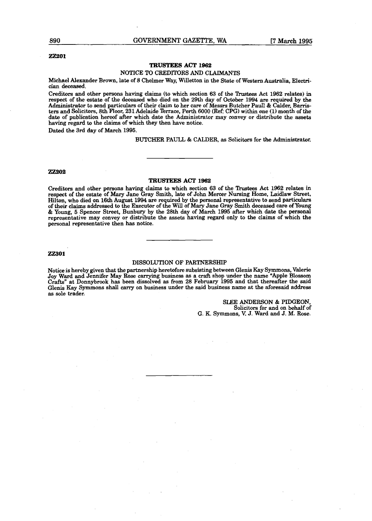**890 GOVERNMENT GAZETTE, WA [7 March 1995** 

#### **ZZ201**

#### **TRUSTEES ACT 1962**  NOTICE **TO** CREDITORS AND CLAIMANTS

Michael Alexander Brown, late of **8** Chelmer Way, Willetton in the State of Western Australia, Electrician deceased.

Creditors and other persons having claims (to which section 63 of the Trustees Act 1962 relates) in respect of the estate of the deceased who died on the 29th day of October 1994 are required by **the**  Administrator to send particulars of their claim to her care of Messrs Butcher Paul1 & Calder, **Barris**ters and Solicitors, 8th Floor, 231 Adelaide Terrace, Perth 6000 (Ref: CPG) within one **(1)** month of the date of publication hereof after which date the Administrator may convey or distribute the **assets having regard** to the claims of which they **then** have notice.

Dated the 3rd day of March 1995.

**BUTCHER** PAULL & **CALDER,** as Solicitors for the **Administrator.** 

#### **ZZ202**

#### TRUSTEES ACT **1962**

Creditors and other persons **having** claims to which section 63 of the Trustees Act 1962 relates in respect of the estate of **Mary** Jane Gray Smith, late of John Mercer **Nursing** Home, Laidlaw Street, Hilton, who died on 16th August 1994 are required by the personal representative **to** send particulars of their claims addressed to the Executor of the Will of Mary Jane Gray Smith deceased **care** of Young & Young, 5 Spencer Street, Bunbury by the 28th day of March 1995 after which **date** the personal representative may convey or distribute the assets having regard only to the claims of which the personal representative then has notice.

#### **22301**

#### DISSOLUTION OF PARTNERSHIP

Notice is hereby given that the partnership heretofore subsisting between Glenis Kay Symmons, Valerie Joy **Ward** and Jennifer May Rose carrying business as a craft shop under the name "Apple Blossom Crafts" at Donnybrook **has** been dissolved **as** from 28 February 1995 and that thereafter the said Glenis Kay Symmons shall carry on business under the said business name at the aforesaid address as sole trader.

> SLEE ANDERSON & PIDGEON, Solicitors for and on behalf of G. K. Symmons, **V.** J. Ward and J. M. Rose.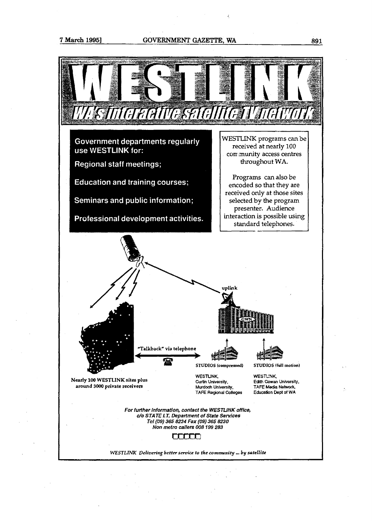